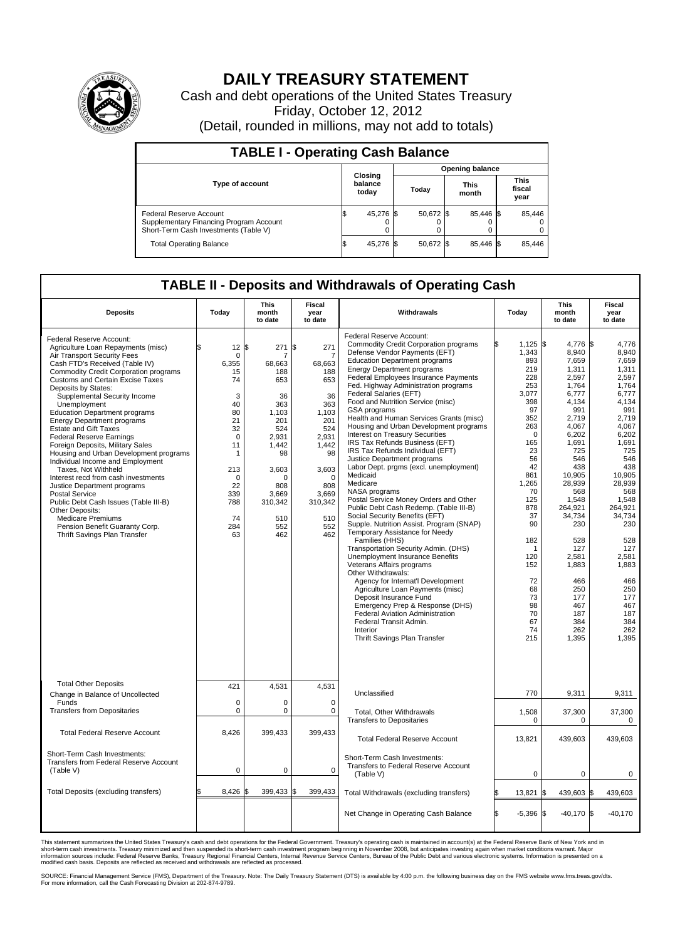

## **DAILY TREASURY STATEMENT**

Cash and debt operations of the United States Treasury Friday, October 12, 2012 (Detail, rounded in millions, may not add to totals)

| <b>TABLE I - Operating Cash Balance</b>                                                                     |                             |                        |                      |                               |  |  |  |  |  |
|-------------------------------------------------------------------------------------------------------------|-----------------------------|------------------------|----------------------|-------------------------------|--|--|--|--|--|
|                                                                                                             |                             | <b>Opening balance</b> |                      |                               |  |  |  |  |  |
| <b>Type of account</b>                                                                                      | Closing<br>balance<br>today | Today                  | <b>This</b><br>month | <b>This</b><br>fiscal<br>year |  |  |  |  |  |
| Federal Reserve Account<br>Supplementary Financing Program Account<br>Short-Term Cash Investments (Table V) | 45,276 \$<br>0              | 50,672 \$              | 85,446 \$            | 85,446                        |  |  |  |  |  |
| <b>Total Operating Balance</b>                                                                              | 45,276 \$                   | 50.672 \$              | 85.446 \$            | 85,446                        |  |  |  |  |  |

## **TABLE II - Deposits and Withdrawals of Operating Cash**

| <b>Deposits</b>                                                                                                                                                                                                                                                                                                                                                                                                                                                                                                                                                                                                                                                                                                                                                                                                                                     | Today                                                                                                                                                                           | <b>This</b><br>month<br>to date                                                                                                                                   | <b>Fiscal</b><br>year<br>to date                                                                                                                                        | Withdrawals                                                                                                                                                                                                                                                                                                                                                                                                                                                                                                                                                                                                                                                                                                                                                                                                                                                                                                                                                                                                                                                                                                                                                                                                                                                                           | Today                                                                                                                                                                                                                                                      | This<br>month<br>to date                                                                                                                                                                                                                                                                          | <b>Fiscal</b><br>year<br>to date                                                                                                                                                                                                                                                               |
|-----------------------------------------------------------------------------------------------------------------------------------------------------------------------------------------------------------------------------------------------------------------------------------------------------------------------------------------------------------------------------------------------------------------------------------------------------------------------------------------------------------------------------------------------------------------------------------------------------------------------------------------------------------------------------------------------------------------------------------------------------------------------------------------------------------------------------------------------------|---------------------------------------------------------------------------------------------------------------------------------------------------------------------------------|-------------------------------------------------------------------------------------------------------------------------------------------------------------------|-------------------------------------------------------------------------------------------------------------------------------------------------------------------------|---------------------------------------------------------------------------------------------------------------------------------------------------------------------------------------------------------------------------------------------------------------------------------------------------------------------------------------------------------------------------------------------------------------------------------------------------------------------------------------------------------------------------------------------------------------------------------------------------------------------------------------------------------------------------------------------------------------------------------------------------------------------------------------------------------------------------------------------------------------------------------------------------------------------------------------------------------------------------------------------------------------------------------------------------------------------------------------------------------------------------------------------------------------------------------------------------------------------------------------------------------------------------------------|------------------------------------------------------------------------------------------------------------------------------------------------------------------------------------------------------------------------------------------------------------|---------------------------------------------------------------------------------------------------------------------------------------------------------------------------------------------------------------------------------------------------------------------------------------------------|------------------------------------------------------------------------------------------------------------------------------------------------------------------------------------------------------------------------------------------------------------------------------------------------|
| Federal Reserve Account:<br>Agriculture Loan Repayments (misc)<br>Air Transport Security Fees<br>Cash FTD's Received (Table IV)<br><b>Commodity Credit Corporation programs</b><br><b>Customs and Certain Excise Taxes</b><br>Deposits by States:<br>Supplemental Security Income<br>Unemployment<br><b>Education Department programs</b><br><b>Energy Department programs</b><br><b>Estate and Gift Taxes</b><br><b>Federal Reserve Earnings</b><br>Foreign Deposits, Military Sales<br>Housing and Urban Development programs<br>Individual Income and Employment<br>Taxes, Not Withheld<br>Interest recd from cash investments<br>Justice Department programs<br><b>Postal Service</b><br>Public Debt Cash Issues (Table III-B)<br>Other Deposits:<br><b>Medicare Premiums</b><br>Pension Benefit Guaranty Corp.<br>Thrift Savings Plan Transfer | $12 \,$ $\uparrow$<br>l\$<br>0<br>6,355<br>15<br>74<br>3<br>40<br>80<br>21<br>32<br>$\mathbf 0$<br>11<br>$\mathbf{1}$<br>213<br>$\Omega$<br>22<br>339<br>788<br>74<br>284<br>63 | 271<br>7<br>68,663<br>188<br>653<br>36<br>363<br>1,103<br>201<br>524<br>2,931<br>1.442<br>98<br>3,603<br>$\Omega$<br>808<br>3,669<br>310,342<br>510<br>552<br>462 | 271<br>ß.<br>7<br>68,663<br>188<br>653<br>36<br>363<br>1,103<br>201<br>524<br>2,931<br>1.442<br>98<br>3,603<br>$\Omega$<br>808<br>3,669<br>310,342<br>510<br>552<br>462 | Federal Reserve Account:<br><b>Commodity Credit Corporation programs</b><br>Defense Vendor Payments (EFT)<br><b>Education Department programs</b><br><b>Energy Department programs</b><br>Federal Employees Insurance Payments<br>Fed. Highway Administration programs<br>Federal Salaries (EFT)<br>Food and Nutrition Service (misc)<br>GSA programs<br>Health and Human Services Grants (misc)<br>Housing and Urban Development programs<br>Interest on Treasury Securities<br>IRS Tax Refunds Business (EFT)<br>IRS Tax Refunds Individual (EFT)<br>Justice Department programs<br>Labor Dept. prgms (excl. unemployment)<br>Medicaid<br>Medicare<br>NASA programs<br>Postal Service Money Orders and Other<br>Public Debt Cash Redemp. (Table III-B)<br>Social Security Benefits (EFT)<br>Supple. Nutrition Assist. Program (SNAP)<br>Temporary Assistance for Needy<br>Families (HHS)<br>Transportation Security Admin. (DHS)<br><b>Unemployment Insurance Benefits</b><br>Veterans Affairs programs<br>Other Withdrawals:<br>Agency for Internat'l Development<br>Agriculture Loan Payments (misc)<br>Deposit Insurance Fund<br>Emergency Prep & Response (DHS)<br><b>Federal Aviation Administration</b><br>Federal Transit Admin.<br>Interior<br>Thrift Savings Plan Transfer | ß.<br>$1,125$ \$<br>1,343<br>893<br>219<br>228<br>253<br>3.077<br>398<br>97<br>352<br>263<br>$\Omega$<br>165<br>23<br>56<br>42<br>861<br>1,265<br>70<br>125<br>878<br>37<br>90<br>182<br>-1<br>120<br>152<br>72<br>68<br>73<br>98<br>70<br>67<br>74<br>215 | 4,776 \$<br>8.940<br>7,659<br>1,311<br>2,597<br>1,764<br>6.777<br>4,134<br>991<br>2,719<br>4,067<br>6,202<br>1,691<br>725<br>546<br>438<br>10,905<br>28,939<br>568<br>1,548<br>264,921<br>34,734<br>230<br>528<br>127<br>2,581<br>1,883<br>466<br>250<br>177<br>467<br>187<br>384<br>262<br>1,395 | 4,776<br>8.940<br>7.659<br>1,311<br>2,597<br>1,764<br>6.777<br>4,134<br>991<br>2.719<br>4,067<br>6,202<br>1,691<br>725<br>546<br>438<br>10,905<br>28,939<br>568<br>1,548<br>264,921<br>34,734<br>230<br>528<br>127<br>2,581<br>1,883<br>466<br>250<br>177<br>467<br>187<br>384<br>262<br>1.395 |
| <b>Total Other Deposits</b><br>Change in Balance of Uncollected                                                                                                                                                                                                                                                                                                                                                                                                                                                                                                                                                                                                                                                                                                                                                                                     | 421                                                                                                                                                                             | 4,531                                                                                                                                                             | 4,531                                                                                                                                                                   | Unclassified                                                                                                                                                                                                                                                                                                                                                                                                                                                                                                                                                                                                                                                                                                                                                                                                                                                                                                                                                                                                                                                                                                                                                                                                                                                                          | 770                                                                                                                                                                                                                                                        | 9,311                                                                                                                                                                                                                                                                                             | 9,311                                                                                                                                                                                                                                                                                          |
| Funds<br><b>Transfers from Depositaries</b>                                                                                                                                                                                                                                                                                                                                                                                                                                                                                                                                                                                                                                                                                                                                                                                                         | 0<br>0                                                                                                                                                                          | $\mathbf 0$<br>$\mathbf 0$                                                                                                                                        | $\mathbf 0$<br>$\mathbf 0$                                                                                                                                              | Total, Other Withdrawals<br><b>Transfers to Depositaries</b>                                                                                                                                                                                                                                                                                                                                                                                                                                                                                                                                                                                                                                                                                                                                                                                                                                                                                                                                                                                                                                                                                                                                                                                                                          | 1,508<br>$\mathbf 0$                                                                                                                                                                                                                                       | 37,300<br>0                                                                                                                                                                                                                                                                                       | 37,300<br>0                                                                                                                                                                                                                                                                                    |
| <b>Total Federal Reserve Account</b>                                                                                                                                                                                                                                                                                                                                                                                                                                                                                                                                                                                                                                                                                                                                                                                                                | 8,426                                                                                                                                                                           | 399,433                                                                                                                                                           | 399,433                                                                                                                                                                 | <b>Total Federal Reserve Account</b>                                                                                                                                                                                                                                                                                                                                                                                                                                                                                                                                                                                                                                                                                                                                                                                                                                                                                                                                                                                                                                                                                                                                                                                                                                                  | 13,821                                                                                                                                                                                                                                                     | 439,603                                                                                                                                                                                                                                                                                           | 439,603                                                                                                                                                                                                                                                                                        |
| Short-Term Cash Investments:<br>Transfers from Federal Reserve Account<br>(Table V)                                                                                                                                                                                                                                                                                                                                                                                                                                                                                                                                                                                                                                                                                                                                                                 | $\mathbf 0$                                                                                                                                                                     | $\mathbf 0$                                                                                                                                                       | $\mathbf 0$                                                                                                                                                             | Short-Term Cash Investments:<br>Transfers to Federal Reserve Account<br>(Table V)                                                                                                                                                                                                                                                                                                                                                                                                                                                                                                                                                                                                                                                                                                                                                                                                                                                                                                                                                                                                                                                                                                                                                                                                     | $\mathbf 0$                                                                                                                                                                                                                                                | $\mathbf 0$                                                                                                                                                                                                                                                                                       | 0                                                                                                                                                                                                                                                                                              |
| Total Deposits (excluding transfers)                                                                                                                                                                                                                                                                                                                                                                                                                                                                                                                                                                                                                                                                                                                                                                                                                | 8,426                                                                                                                                                                           | 399,433<br>\$                                                                                                                                                     | 399,433                                                                                                                                                                 | Total Withdrawals (excluding transfers)                                                                                                                                                                                                                                                                                                                                                                                                                                                                                                                                                                                                                                                                                                                                                                                                                                                                                                                                                                                                                                                                                                                                                                                                                                               | 13,821<br>\$                                                                                                                                                                                                                                               | 439,603 \$<br>I\$                                                                                                                                                                                                                                                                                 | 439,603                                                                                                                                                                                                                                                                                        |
|                                                                                                                                                                                                                                                                                                                                                                                                                                                                                                                                                                                                                                                                                                                                                                                                                                                     |                                                                                                                                                                                 |                                                                                                                                                                   |                                                                                                                                                                         | Net Change in Operating Cash Balance                                                                                                                                                                                                                                                                                                                                                                                                                                                                                                                                                                                                                                                                                                                                                                                                                                                                                                                                                                                                                                                                                                                                                                                                                                                  | l\$<br>$-5,396$ \$                                                                                                                                                                                                                                         | $-40,170$ \$                                                                                                                                                                                                                                                                                      | $-40,170$                                                                                                                                                                                                                                                                                      |

This statement summarizes the United States Treasury's cash and debt operations for the Federal Government. Treasury's operating cash is maintained in account(s) at the Federal Reserve Bank of New York and in<br>short-term ca

SOURCE: Financial Management Service (FMS), Department of the Treasury. Note: The Daily Treasury Statement (DTS) is available by 4:00 p.m. the following business day on the FMS website www.fms.treas.gov/dts.<br>For more infor